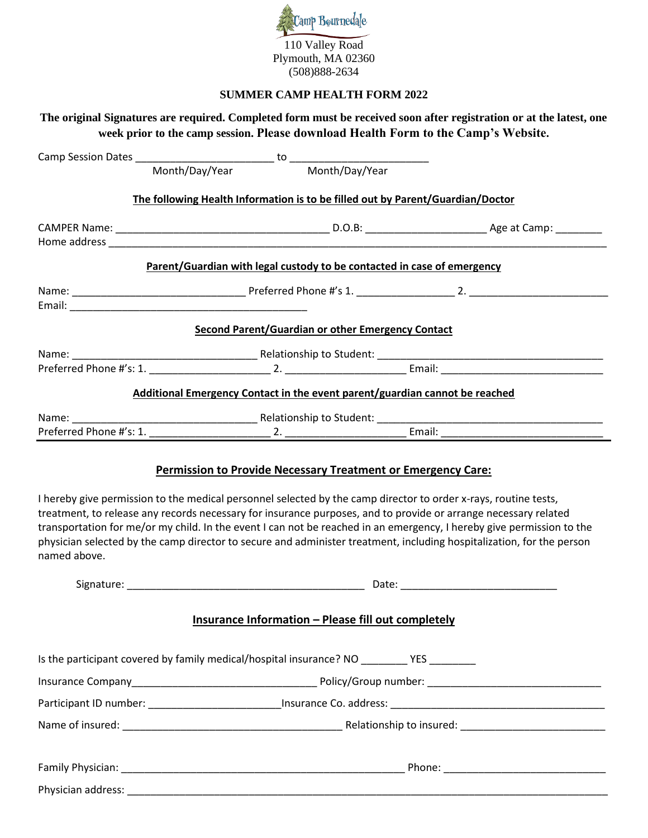

### **SUMMER CAMP HEALTH FORM 2022**

# **The original Signatures are required. Completed form must be received soon after registration or at the latest, one week prior to the camp session. Please download Health Form to the Camp's Website.** Camp Session Dates \_\_\_\_\_\_\_\_\_\_\_\_\_\_\_\_\_\_\_\_\_\_\_\_ to \_\_\_\_\_\_\_\_\_\_\_\_\_\_\_\_\_\_\_\_\_\_\_\_ Month/Day/Year Month/Day/Year

**The following Health Information is to be filled out by Parent/Guardian/Doctor**

|                         | Parent/Guardian with legal custody to be contacted in case of emergency     |  |
|-------------------------|-----------------------------------------------------------------------------|--|
|                         |                                                                             |  |
|                         |                                                                             |  |
|                         | Second Parent/Guardian or other Emergency Contact                           |  |
|                         |                                                                             |  |
|                         |                                                                             |  |
|                         | Additional Emergency Contact in the event parent/guardian cannot be reached |  |
|                         |                                                                             |  |
| Preferred Phone #'s: 1. | Email:<br>2.                                                                |  |

### **Permission to Provide Necessary Treatment or Emergency Care:**

I hereby give permission to the medical personnel selected by the camp director to order x-rays, routine tests, treatment, to release any records necessary for insurance purposes, and to provide or arrange necessary related transportation for me/or my child. In the event I can not be reached in an emergency, I hereby give permission to the physician selected by the camp director to secure and administer treatment, including hospitalization, for the person named above.

| Insurance Information - Please fill out completely                                          |  |
|---------------------------------------------------------------------------------------------|--|
| Is the participant covered by family medical/hospital insurance? NO __________YES _________ |  |
|                                                                                             |  |
|                                                                                             |  |
|                                                                                             |  |
|                                                                                             |  |
|                                                                                             |  |
|                                                                                             |  |
|                                                                                             |  |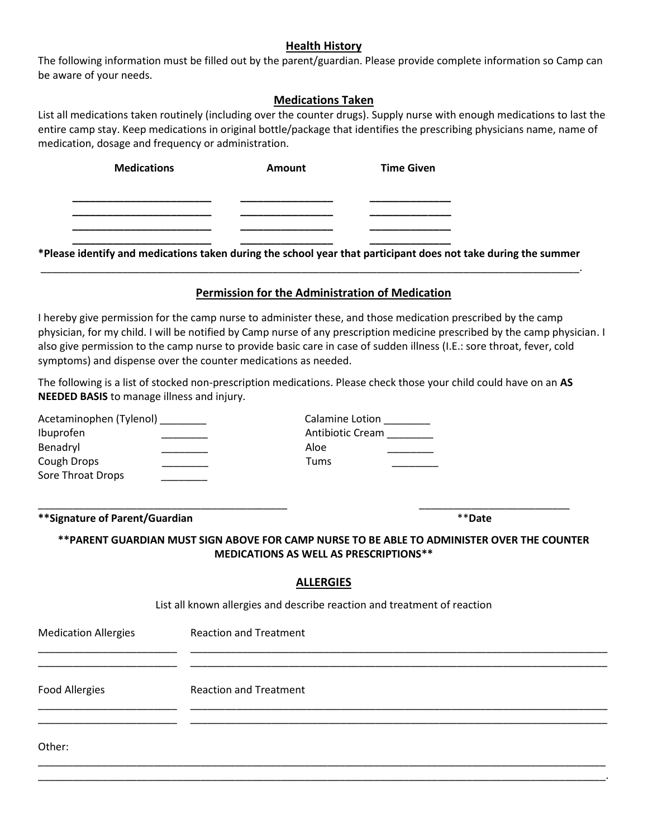## **Health History**

The following information must be filled out by the parent/guardian. Please provide complete information so Camp can be aware of your needs.

# **Medications Taken**

List all medications taken routinely (including over the counter drugs). Supply nurse with enough medications to last the entire camp stay. Keep medications in original bottle/package that identifies the prescribing physicians name, name of medication, dosage and frequency or administration.

| <b>Medications</b> | <b>Amount</b> | <b>Time Given</b> |
|--------------------|---------------|-------------------|
|                    |               |                   |
|                    |               |                   |
|                    |               |                   |
|                    |               |                   |

**\*Please identify and medications taken during the school year that participant does not take during the summer** \_\_\_\_\_\_\_\_\_\_\_\_\_\_\_\_\_\_\_\_\_\_\_\_\_\_\_\_\_\_\_\_\_\_\_\_\_\_\_\_\_\_\_\_\_\_\_\_\_\_\_\_\_\_\_\_\_\_\_\_\_\_\_\_\_\_\_\_\_\_\_\_\_\_\_\_\_\_\_\_\_\_\_\_\_\_\_\_\_\_\_\_\_.

# **Permission for the Administration of Medication**

I hereby give permission for the camp nurse to administer these, and those medication prescribed by the camp physician, for my child. I will be notified by Camp nurse of any prescription medicine prescribed by the camp physician. I also give permission to the camp nurse to provide basic care in case of sudden illness (I.E.: sore throat, fever, cold symptoms) and dispense over the counter medications as needed.

The following is a list of stocked non-prescription medications. Please check those your child could have on an **AS NEEDED BASIS** to manage illness and injury.

| Acetaminophen (Tylenol) ________<br>Ibuprofen<br>Benadryl<br>Cough Drops<br>Sore Throat Drops | Calamine Lotion _________<br>Antibiotic Cream ________<br>Aloe<br><b>Tums</b>                                                               |
|-----------------------------------------------------------------------------------------------|---------------------------------------------------------------------------------------------------------------------------------------------|
| ** Signature of Parent/Guardian                                                               | **Date                                                                                                                                      |
|                                                                                               | **PARENT GUARDIAN MUST SIGN ABOVE FOR CAMP NURSE TO BE ABLE TO ADMINISTER OVER THE COUNTER<br><b>MEDICATIONS AS WELL AS PRESCRIPTIONS**</b> |
|                                                                                               | <b>ALLERGIES</b>                                                                                                                            |
|                                                                                               | List all known allergies and describe reaction and treatment of reaction                                                                    |
| <b>Medication Allergies</b>                                                                   | <b>Reaction and Treatment</b>                                                                                                               |
| <b>Food Allergies</b>                                                                         | <b>Reaction and Treatment</b>                                                                                                               |
|                                                                                               |                                                                                                                                             |
| Other:                                                                                        |                                                                                                                                             |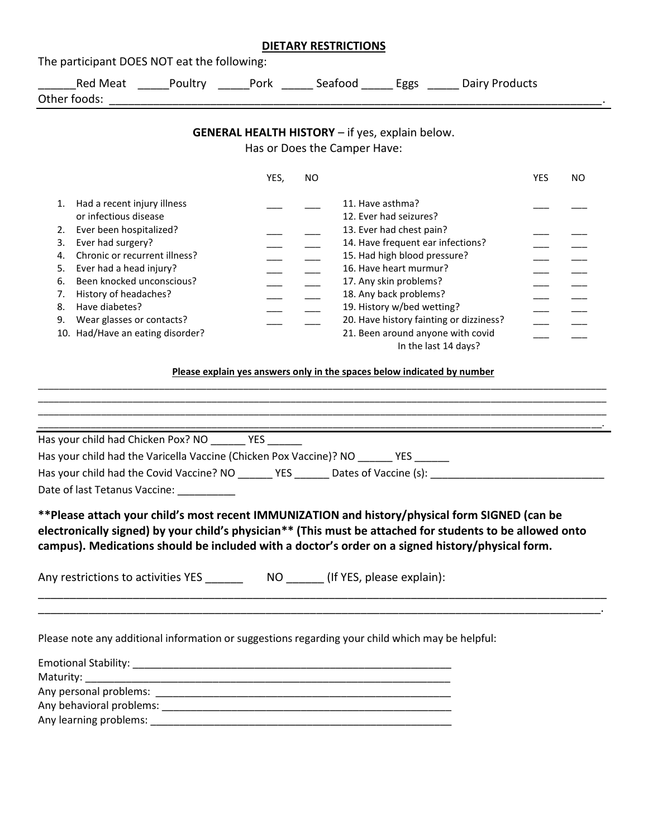|    |                                  |                                                  |      |     | <b>DIETARY RESTRICTIONS</b>                                                                                                                                                                                                                                                                                     |            |     |
|----|----------------------------------|--------------------------------------------------|------|-----|-----------------------------------------------------------------------------------------------------------------------------------------------------------------------------------------------------------------------------------------------------------------------------------------------------------------|------------|-----|
|    |                                  | The participant DOES NOT eat the following:      |      |     |                                                                                                                                                                                                                                                                                                                 |            |     |
|    |                                  |                                                  |      |     | Red Meat _____Poultry ______Pork ______ Seafood ______ Eggs ______ Dairy Products                                                                                                                                                                                                                               |            |     |
|    |                                  |                                                  |      |     |                                                                                                                                                                                                                                                                                                                 |            |     |
|    |                                  |                                                  |      |     |                                                                                                                                                                                                                                                                                                                 |            |     |
|    |                                  |                                                  |      |     | <b>GENERAL HEALTH HISTORY</b> - if yes, explain below.                                                                                                                                                                                                                                                          |            |     |
|    |                                  |                                                  |      |     | Has or Does the Camper Have:                                                                                                                                                                                                                                                                                    |            |     |
|    |                                  |                                                  | YES, | NO. |                                                                                                                                                                                                                                                                                                                 | <b>YES</b> | NO. |
| 1. | Had a recent injury illness      |                                                  |      |     | 11. Have asthma?                                                                                                                                                                                                                                                                                                |            |     |
|    | or infectious disease            |                                                  |      |     | 12. Ever had seizures?                                                                                                                                                                                                                                                                                          |            |     |
| 2. | Ever been hospitalized?          |                                                  |      |     | 13. Ever had chest pain?                                                                                                                                                                                                                                                                                        |            |     |
| 3. | Ever had surgery?                |                                                  |      |     | 14. Have frequent ear infections?                                                                                                                                                                                                                                                                               |            |     |
| 4. | Chronic or recurrent illness?    |                                                  |      |     | 15. Had high blood pressure?                                                                                                                                                                                                                                                                                    |            |     |
| 5. | Ever had a head injury?          |                                                  |      |     | 16. Have heart murmur?                                                                                                                                                                                                                                                                                          |            |     |
| 6. | Been knocked unconscious?        |                                                  |      |     | 17. Any skin problems?                                                                                                                                                                                                                                                                                          |            |     |
| 7. | History of headaches?            |                                                  |      |     | 18. Any back problems?                                                                                                                                                                                                                                                                                          |            |     |
| 8. | Have diabetes?                   |                                                  |      |     | 19. History w/bed wetting?                                                                                                                                                                                                                                                                                      |            |     |
| 9. | Wear glasses or contacts?        |                                                  |      |     | 20. Have history fainting or dizziness?                                                                                                                                                                                                                                                                         |            |     |
|    | 10. Had/Have an eating disorder? |                                                  |      |     | 21. Been around anyone with covid<br>In the last 14 days?                                                                                                                                                                                                                                                       |            |     |
|    |                                  |                                                  |      |     |                                                                                                                                                                                                                                                                                                                 |            |     |
|    |                                  | Has your child had Chicken Pox? NO _________ YES |      |     |                                                                                                                                                                                                                                                                                                                 |            |     |
|    |                                  |                                                  |      |     | Has your child had the Varicella Vaccine (Chicken Pox Vaccine)? NO _______ YES ______                                                                                                                                                                                                                           |            |     |
|    |                                  |                                                  |      |     | Has your child had the Covid Vaccine? NO _______ YES _______ Dates of Vaccine (s): ___________________________                                                                                                                                                                                                  |            |     |
|    |                                  | Date of last Tetanus Vaccine: __________         |      |     |                                                                                                                                                                                                                                                                                                                 |            |     |
|    |                                  |                                                  |      |     | **Please attach your child's most recent IMMUNIZATION and history/physical form SIGNED (can be<br>electronically signed) by your child's physician** (This must be attached for students to be allowed onto<br>campus). Medications should be included with a doctor's order on a signed history/physical form. |            |     |
|    |                                  |                                                  |      |     |                                                                                                                                                                                                                                                                                                                 |            |     |
|    |                                  |                                                  |      |     | Please note any additional information or suggestions regarding your child which may be helpful:                                                                                                                                                                                                                |            |     |
|    |                                  |                                                  |      |     |                                                                                                                                                                                                                                                                                                                 |            |     |
|    |                                  |                                                  |      |     |                                                                                                                                                                                                                                                                                                                 |            |     |
|    |                                  |                                                  |      |     |                                                                                                                                                                                                                                                                                                                 |            |     |
|    |                                  |                                                  |      |     |                                                                                                                                                                                                                                                                                                                 |            |     |
|    |                                  |                                                  |      |     |                                                                                                                                                                                                                                                                                                                 |            |     |
|    |                                  |                                                  |      |     |                                                                                                                                                                                                                                                                                                                 |            |     |